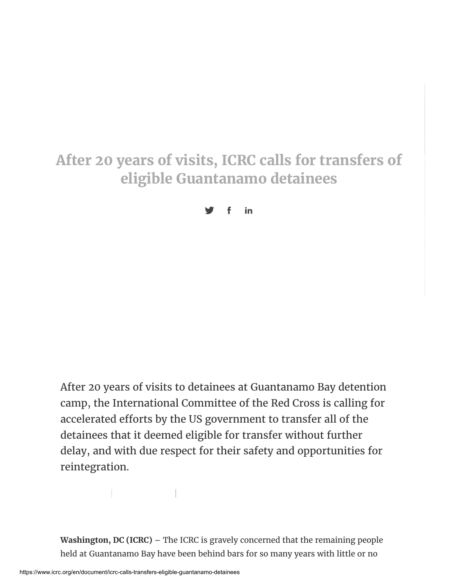## **After 20 years of visits, ICRC calls for transfers of eligible Guantanamo detainees**

 $y$  f in

After 20 years of visits to detainees at Guantanamo Bay detention camp, the International Committee of the Red Cross is calling for accelerated efforts by the US government to transfer all of the detainees that it deemed eligible for transfer without further delay, and with due respect for their safety and opportunities for reintegration.

**Washington, DC (ICRC)** – The ICRC is gravely concerned that the remaining people held at Guantanamo Bay have been behind bars for so many years with little or no